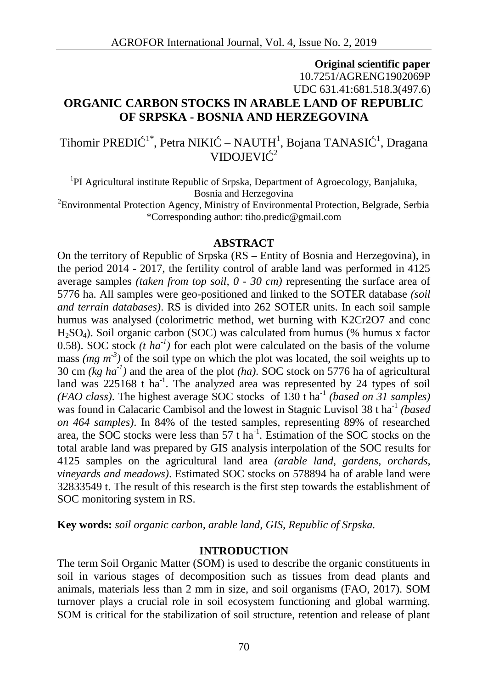# **Original scientific paper** 10.7251/AGRENG1902069P UDC 631.41:681.518.3(497.6) **ORGANIC CARBON STOCKS IN ARABLE LAND OF REPUBLIC OF SRPSKA - BOSNIA AND HERZEGOVINA**

Tihomir PREDI  $1^*$ , Petra NIKI – NAUTH<sup>1</sup>, Bojana TANASI  $1^1$ , Dragana VIDOJEVI $^{-2}$ 

<sup>1</sup>PI Agricultural institute Republic of Srpska, Department of Agroecology, Banjaluka, Bosnia and Herzegovina

<sup>2</sup>Environmental Protection Agency, Ministry of Environmental Protection, Belgrade, Serbia \*Corresponding author: tiho.predic@gmail.com

#### **ABSTRACT**

On the territory of Republic of Srpska (RS – Entity of Bosnia and Herzegovina), in the period 2014 - 2017, the fertility control of arable land was performed in 4125 average samples *(taken from top soil, 0 - 30 cm)* representing the surface area of 5776 ha. All samples were geo-positioned and linked to the SOTER database *(soil and terrain databases)*. RS is divided into 262 SOTER units. In each soil sample humus was analysed (colorimetric method, wet burning with K2Cr2O7 and conc  $H_2SO_4$ ). Soil organic carbon (SOC) was calculated from humus (% humus x factor 0.58). SOC stock  $(t \ ha^{-1})$  for each plot were calculated on the basis of the volume mass  $(mg m<sup>-3</sup>)$  of the soil type on which the plot was located, the soil weights up to 30 cm *(kg ha-1)* and the area of the plot *(ha)*. SOC stock on 5776 ha of agricultural land was  $225168$  t ha<sup>-1</sup>. The analyzed area was represented by 24 types of soil *(FAO class)*. The highest average SOC stocks of 130 t ha-1 *(based on 31 samples)* was found in Calacaric Cambisol and the lowest in Stagnic Luvisol 38 t ha<sup>1</sup> *(based*) *on 464 samples)*. In 84% of the tested samples, representing 89% of researched area, the SOC stocks were less than  $57$  t ha<sup>-1</sup>. Estimation of the SOC stocks on the total arable land was prepared by GIS analysis interpolation of the SOC results for 4125 samples on the agricultural land area *(arable land, gardens, orchards, vineyards and meadows)*. Estimated SOC stocks on 578894 ha of arable land were 32833549 t. The result of this research is the first step towards the establishment of SOC monitoring system in RS.

**Key words:** *soil organic carbon, arable land, GIS, Republic of Srpska.*

# **INTRODUCTION**

The term Soil Organic Matter (SOM) is used to describe the organic constituents in soil in various stages of decomposition such as tissues from dead plants and animals, materials less than 2 mm in size, and soil organisms (FAO, 2017). SOM turnover plays a crucial role in soil ecosystem functioning and global warming. SOM is critical for the stabilization of soil structure, retention and release of plant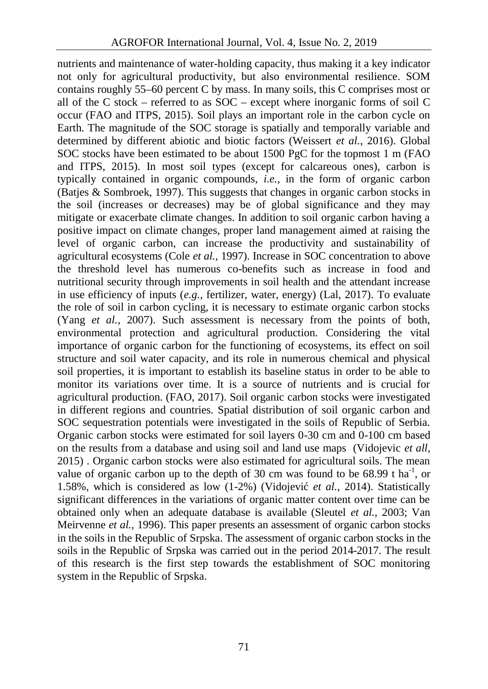nutrients and maintenance of water-holding capacity, thus making it a key indicator not only for agricultural productivity, but also environmental resilience. SOM contains roughly 55–60 percent C by mass. In many soils, this C comprises most or all of the C stock – referred to as  $SOC$  – except where inorganic forms of soil C occur (FAO and ITPS, 2015). Soil plays an important role in the carbon cycle on Earth. The magnitude of the SOC storage is spatially and temporally variable and determined by different abiotic and biotic factors (Weissert *et al.*, 2016). Global SOC stocks have been estimated to be about 1500 PgC for the topmost 1 m (FAO and ITPS, 2015). In most soil types (except for calcareous ones), carbon is typically contained in organic compounds, *i.e.*, in the form of organic carbon (Batjes & Sombroek, 1997). This suggests that changes in organic carbon stocks in the soil (increases or decreases) may be of global significance and they may mitigate or exacerbate climate changes. In addition to soil organic carbon having a positive impact on climate changes, proper land management aimed at raising the level of organic carbon, can increase the productivity and sustainability of agricultural ecosystems (Cole *et al.,* 1997). Increase in SOC concentration to above the threshold level has numerous co-benefits such as increase in food and nutritional security through improvements in soil health and the attendant increase in use efficiency of inputs (*e.g.,* fertilizer, water, energy) (Lal, 2017). To evaluate the role of soil in carbon cycling, it is necessary to estimate organic carbon stocks (Yang *et al.,* 2007). Such assessment is necessary from the points of both, environmental protection and agricultural production. Considering the vital importance of organic carbon for the functioning of ecosystems, its effect on soil structure and soil water capacity, and its role in numerous chemical and physical soil properties, it is important to establish its baseline status in order to be able to monitor its variations over time. It is a source of nutrients and is crucial for agricultural production. (FAO, 2017). Soil organic carbon stocks were investigated in different regions and countries. Spatial distribution of soil organic carbon and SOC sequestration potentials were investigated in the soils of Republic of Serbia. Organic carbon stocks were estimated for soil layers 0-30 cm and 0-100 cm based on the results from a database and using soil and land use maps (Vidojevic *et all,* 2015) . Organic carbon stocks were also estimated for agricultural soils. The mean value of organic carbon up to the depth of 30 cm was found to be  $68.99$  t ha<sup>-1</sup>, or 1.58%, which is considered as low (1-2%) (Vidojevi *et al.*, 2014). Statistically significant differences in the variations of organic matter content over time can be obtained only when an adequate database is available (Sleutel *et al.,* 2003; Van Meirvenne *et al.,* 1996). This paper presents an assessment of organic carbon stocks in the soils in the Republic of Srpska. The assessment of organic carbon stocks in the soils in the Republic of Srpska was carried out in the period 2014-2017. The result of this research is the first step towards the establishment of SOC monitoring system in the Republic of Srpska.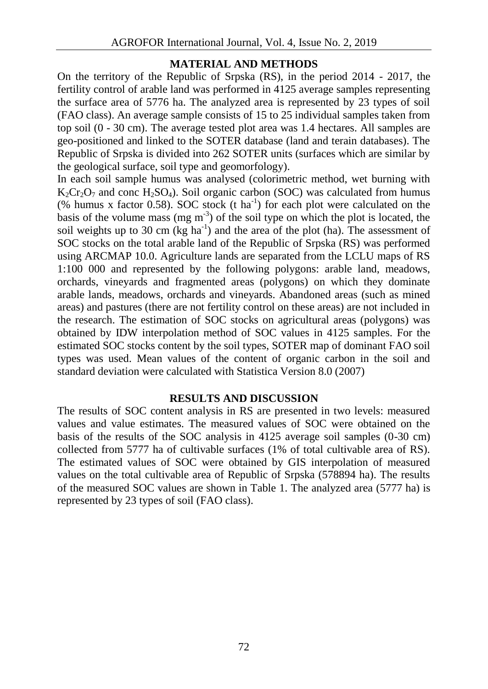# **MATERIAL AND METHODS**

On the territory of the Republic of Srpska (RS), in the period 2014 - 2017, the fertility control of arable land was performed in 4125 average samples representing the surface area of 5776 ha. The analyzed area is represented by 23 types of soil (FAO class). An average sample consists of 15 to 25 individual samples taken from top soil (0 - 30 cm). The average tested plot area was 1.4 hectares. All samples are geo-positioned and linked to the SOTER database (land and terain databases). The Republic of Srpska is divided into 262 SOTER units (surfaces which are similar by the geological surface, soil type and geomorfology).

In each soil sample humus was analysed (colorimetric method, wet burning with  $K_2Cr_2O_7$  and conc H<sub>2</sub>SO<sub>4</sub>). Soil organic carbon (SOC) was calculated from humus (% humus x factor 0.58). SOC stock (t ha<sup>-1</sup>) for each plot were calculated on the basis of the volume mass (mg  $m<sup>3</sup>$ ) of the soil type on which the plot is located, the soil weights up to 30 cm (kg ha<sup>-1</sup>) and the area of the plot (ha). The assessment of SOC stocks on the total arable land of the Republic of Srpska (RS) was performed using ARCMAP 10.0. Agriculture lands are separated from the LCLU maps of RS 1:100 000 and represented by the following polygons: arable land, meadows, orchards, vineyards and fragmented areas (polygons) on which they dominate arable lands, meadows, orchards and vineyards. Abandoned areas (such as mined areas) and pastures (there are not fertility control on these areas) are not included in the research. The estimation of SOC stocks on agricultural areas (polygons) was obtained by IDW interpolation method of SOC values in 4125 samples. For the estimated SOC stocks content by the soil types, SOTER map of dominant FAO soil types was used. Mean values of the content of organic carbon in the soil and standard deviation were calculated with Statistica Version 8.0 (2007)

## **RESULTS AND DISCUSSION**

The results of SOC content analysis in RS are presented in two levels: measured values and value estimates. The measured values of SOC were obtained on the basis of the results of the SOC analysis in 4125 average soil samples (0-30 cm) collected from 5777 ha of cultivable surfaces (1% of total cultivable area of RS). The estimated values of SOC were obtained by GIS interpolation of measured values on the total cultivable area of Republic of Srpska (578894 ha). The results of the measured SOC values are shown in Table 1. The analyzed area (5777 ha) is represented by 23 types of soil (FAO class).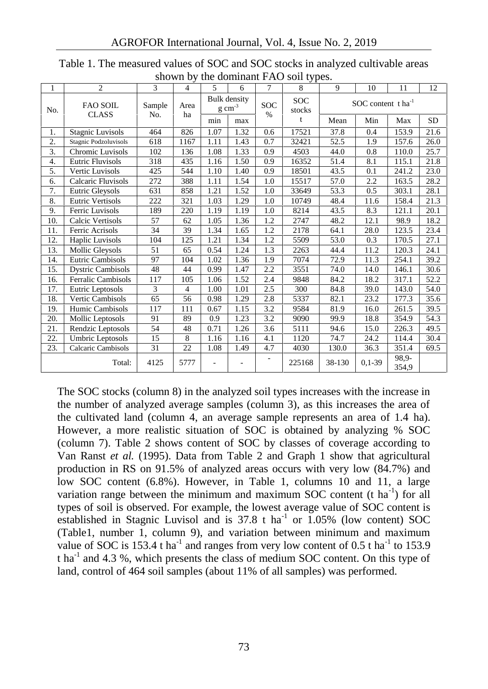| 1   | 2                               | 3             | 0.11011101<br>4 | 5                                          | 6    | $\tau$             | $\frac{1}{2}$<br>8   | 9                             | 10         | 11             | 12   |
|-----|---------------------------------|---------------|-----------------|--------------------------------------------|------|--------------------|----------------------|-------------------------------|------------|----------------|------|
| No. | <b>FAO SOIL</b><br><b>CLASS</b> | Sample<br>No. | Area<br>ha      | <b>Bulk</b> density<br>$g \text{ cm}^{-3}$ |      | <b>SOC</b><br>$\%$ | <b>SOC</b><br>stocks | SOC content tha <sup>-1</sup> |            |                |      |
|     |                                 |               |                 | min                                        | max  |                    | t                    | Mean                          | Min        | Max            | SD.  |
| 1.  | Stagnic Luvisols                | 464           | 826             | 1.07                                       | 1.32 | 0.6                | 17521                | 37.8                          | 0.4        | 153.9          | 21.6 |
| 2.  | Stagnic Podzoluvisols           | 618           | 1167            | 1.11                                       | 1.43 | 0.7                | 32421                | 52.5                          | 1.9        | 157.6          | 26.0 |
| 3.  | Chromic Luvisols                | 102           | 136             | 1.08                                       | 1.33 | 0.9                | 4503                 | 44.0                          | 0.8        | 110.0          | 25.7 |
| 4.  | <b>Eutric Fluvisols</b>         | 318           | 435             | 1.16                                       | 1.50 | 0.9                | 16352                | 51.4                          | 8.1        | 115.1          | 21.8 |
| 5.  | Vertic Luvisols                 | 425           | 544             | 1.10                                       | 1.40 | 0.9                | 18501                | 43.5                          | 0.1        | 241.2          | 23.0 |
| 6.  | Calcaric Fluvisols              | 272           | 388             | 1.11                                       | 1.54 | 1.0                | 15517                | 57.0                          | 2.2        | 163.5          | 28.2 |
| 7.  | Eutric Gleysols                 | 631           | 858             | 1.21                                       | 1.52 | 1.0                | 33649                | 53.3                          | 0.5        | 303.1          | 28.1 |
| 8.  | <b>Eutric Vertisols</b>         | 222           | 321             | 1.03                                       | 1.29 | 1.0                | 10749                | 48.4                          | 11.6       | 158.4          | 21.3 |
| 9.  | Ferric Luvisols                 | 189           | 220             | 1.19                                       | 1.19 | 1.0                | 8214                 | 43.5                          | 8.3        | 121.1          | 20.1 |
| 10. | Calcic Vertisols                | 57            | 62              | 1.05                                       | 1.36 | 1.2                | 2747                 | 48.2                          | 12.1       | 98.9           | 18.2 |
| 11. | Ferric Acrisols                 | 34            | 39              | 1.34                                       | 1.65 | 1.2                | 2178                 | 64.1                          | 28.0       | 123.5          | 23.4 |
| 12. | Haplic Luvisols                 | 104           | 125             | 1.21                                       | 1.34 | 1.2                | 5509                 | 53.0                          | 0.3        | 170.5          | 27.1 |
| 13. | Mollic Gleysols                 | 51            | 65              | 0.54                                       | 1.24 | 1.3                | 2263                 | 44.4                          | 11.2       | 120.3          | 24.1 |
| 14. | Eutric Cambisols                | 97            | 104             | 1.02                                       | 1.36 | 1.9                | 7074                 | 72.9                          | 11.3       | 254.1          | 39.2 |
| 15. | <b>Dystric Cambisols</b>        | 48            | 44              | 0.99                                       | 1.47 | 2.2                | 3551                 | 74.0                          | 14.0       | 146.1          | 30.6 |
| 16. | <b>Ferralic Cambisols</b>       | 117           | 105             | 1.06                                       | 1.52 | 2.4                | 9848                 | 84.2                          | 18.2       | 317.1          | 52.2 |
| 17. | Eutric Leptosols                | 3             | 4               | 1.00                                       | 1.01 | 2.5                | 300                  | 84.8                          | 39.0       | 143.0          | 54.0 |
| 18. | <b>Vertic Cambisols</b>         | 65            | 56              | 0.98                                       | 1.29 | 2.8                | 5337                 | 82.1                          | 23.2       | 177.3          | 35.6 |
| 19. | Humic Cambisols                 | 117           | 111             | 0.67                                       | 1.15 | 3.2                | 9584                 | 81.9                          | 16.0       | 261.5          | 39.5 |
| 20. | Mollic Leptosols                | 91            | 89              | 0.9                                        | 1.23 | 3.2                | 9090                 | 99.9                          | 18.8       | 354.9          | 54.3 |
| 21. | Rendzic Leptosols               | 54            | 48              | 0.71                                       | 1.26 | 3.6                | 5111                 | 94.6                          | 15.0       | 226.3          | 49.5 |
| 22. | Umbric Leptosols                | 15            | 8               | 1.16                                       | 1.16 | 4.1                | 1120                 | 74.7                          | 24.2       | 114.4          | 30.4 |
| 23. | Calcaric Cambisols              | 31            | 22              | 1.08                                       | 1.49 | 4.7                | 4030                 | 130.0                         | 36.3       | 351.4          | 69.5 |
|     | Total:                          | 4125          | 5777            |                                            |      |                    | 225168               | 38-130                        | $0.1 - 39$ | 98.9-<br>354,9 |      |

Table 1. The measured values of SOC and SOC stocks in analyzed cultivable areas shown by the dominant  $FAO$  soil types.

The SOC stocks (column 8) in the analyzed soil types increases with the increase in the number of analyzed average samples (column 3), as this increases the area of the cultivated land (column 4, an average sample represents an area of 1.4 ha). However, a more realistic situation of SOC is obtained by analyzing % SOC (column 7). Table 2 shows content of SOC by classes of coverage according to Van Ranst *et al.* (1995). Data from Table 2 and Graph 1 show that agricultural production in RS on 91.5% of analyzed areas occurs with very low (84.7%) and low SOC content (6.8%). However, in Table 1, columns 10 and 11, a large variation range between the minimum and maximum SOC content (t  $ha^{-1}$ ) for all types of soil is observed. For example, the lowest average value of SOC content is established in Stagnic Luvisol and is  $37.8$  t ha<sup>-1</sup> or  $1.05\%$  (low content) SOC (Table1, number 1, column 9), and variation between minimum and maximum value of SOC is 153.4 t ha<sup>-1</sup> and ranges from very low content of 0.5 t ha<sup>-1</sup> to 153.9 t ha<sup>-1</sup> and 4.3 %, which presents the class of medium SOC content. On this type of land, control of 464 soil samples (about 11% of all samples) was performed.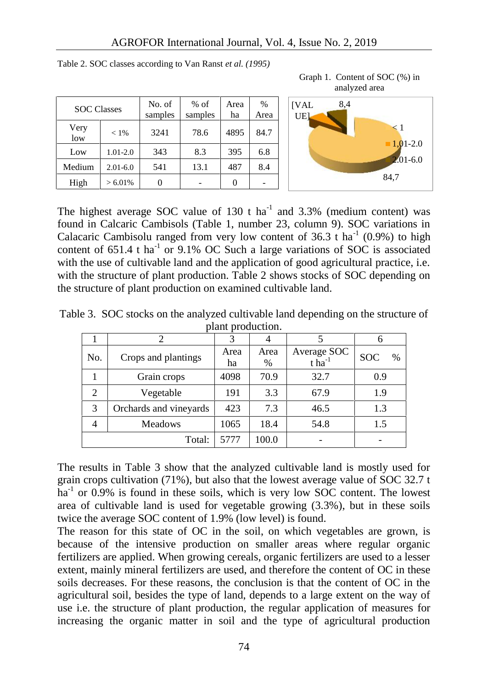| <b>SOC</b> Classes |              | No. of<br>samples | $%$ of<br>samples | Area<br>ha | $\frac{0}{0}$<br>Area | [VA<br>UE |
|--------------------|--------------|-------------------|-------------------|------------|-----------------------|-----------|
| Very<br>low        | $< 1\%$      | 3241              | 78.6              | 4895       | 84.7                  |           |
| Low                | $1.01 - 2.0$ | 343               | 8.3               | 395        | 6.8                   |           |
| Medium             | $2.01 - 6.0$ | 541               | 13.1              | 487        | 8.4                   |           |
| High               | $> 6.01\%$   |                   |                   |            |                       |           |

Table 2. SOC classes according to Van Ranst *et al. (1995)*





The highest average SOC value of  $130$  t ha<sup>-1</sup> and  $3.3\%$  (medium content) was found in Calcaric Cambisols (Table 1, number 23, column 9). SOC variations in Calacaric Cambisolu ranged from very low content of 36.3 t ha<sup>-1</sup> (0.9%) to high content of  $651.4$  t ha<sup>-1</sup> or  $9.1\%$  OC Such a large variations of SOC is associated with the use of cultivable land and the application of good agricultural practice, i.e. with the structure of plant production. Table 2 shows stocks of SOC depending on the structure of plant production on examined cultivable land.

|                |                        | 3          |              |                                     |                    |
|----------------|------------------------|------------|--------------|-------------------------------------|--------------------|
| No.            | Crops and plantings    | Area<br>ha | Area<br>$\%$ | Average SOC<br>$t$ ha <sup>-1</sup> | <b>SOC</b><br>$\%$ |
|                | Grain crops            | 4098       | 70.9         | 32.7                                | 0.9                |
| $\overline{2}$ | Vegetable              | 191        | 3.3          | 67.9                                | 1.9                |
| 3              | Orchards and vineyards | 423        | 7.3          | 46.5                                | 1.3                |
| $\overline{4}$ | <b>Meadows</b>         | 1065       | 18.4         | 54.8                                | 1.5                |
|                | Total:                 | 5777       | 100.0        |                                     |                    |

Table 3. SOC stocks on the analyzed cultivable land depending on the structure of plant production.

The results in Table 3 show that the analyzed cultivable land is mostly used for grain crops cultivation  $(71\%)$ , but also that the lowest average value of SOC 32.7 t  $ha^{-1}$  or 0.9% is found in these soils, which is very low SOC content. The lowest area of cultivable land is used for vegetable growing (3.3%), but in these soils twice the average SOC content of 1.9% (low level) is found.

The reason for this state of OC in the soil, on which vegetables are grown, is because of the intensive production on smaller areas where regular organic fertilizers are applied. When growing cereals, organic fertilizers are used to a lesser extent, mainly mineral fertilizers are used, and therefore the content of OC in these soils decreases. For these reasons, the conclusion is that the content of OC in the agricultural soil, besides the type of land, depends to a large extent on the way of use i.e. the structure of plant production, the regular application of measures for increasing the organic matter in soil and the type of agricultural production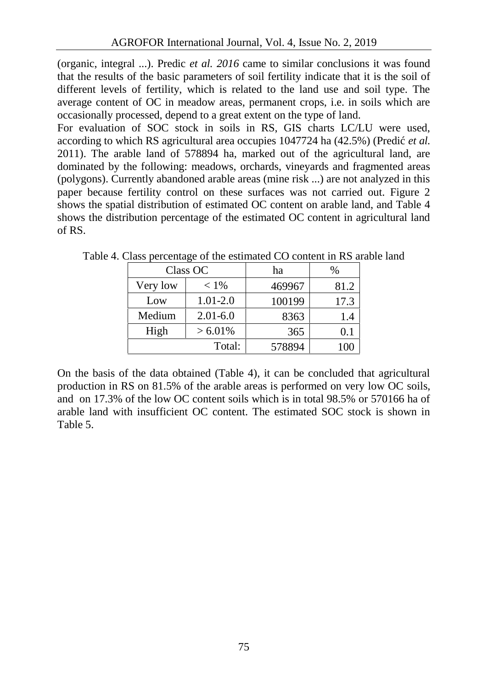(organic, integral ...). Predic *et al. 2016* came to similar conclusions it was found that the results of the basic parameters of soil fertility indicate that it is the soil of different levels of fertility, which is related to the land use and soil type. The average content of OC in meadow areas, permanent crops, i.e. in soils which are occasionally processed, depend to a great extent on the type of land.

For evaluation of SOC stock in soils in RS, GIS charts LC/LU were used, according to which RS agricultural area occupies 1047724 ha (42.5%) (Predi *et al.* 2011). The arable land of 578894 ha, marked out of the agricultural land, are dominated by the following: meadows, orchards, vineyards and fragmented areas (polygons). Currently abandoned arable areas (mine risk ...) are not analyzed in this paper because fertility control on these surfaces was not carried out. Figure 2 shows the spatial distribution of estimated OC content on arable land, and Table 4 shows the distribution percentage of the estimated OC content in agricultural land of RS.

|          | Class OC     | ha     | %    |  |
|----------|--------------|--------|------|--|
| Very low | $< 1\%$      |        | 81.2 |  |
| Low      | $1.01 - 2.0$ | 100199 | 17.3 |  |
| Medium   | $2.01 - 6.0$ | 8363   | 1.4  |  |
| High     | $> 6.01\%$   | 365    | 0.1  |  |
|          | Total:       | 578894 | 100  |  |

Table 4. Class percentage of the estimated CO content in RS arable land

On the basis of the data obtained (Table 4), it can be concluded that agricultural production in RS on 81.5% of the arable areas is performed on very low OC soils, and on 17.3% of the low OC content soils which is in total 98.5% or 570166 ha of arable land with insufficient OC content. The estimated SOC stock is shown in Table 5.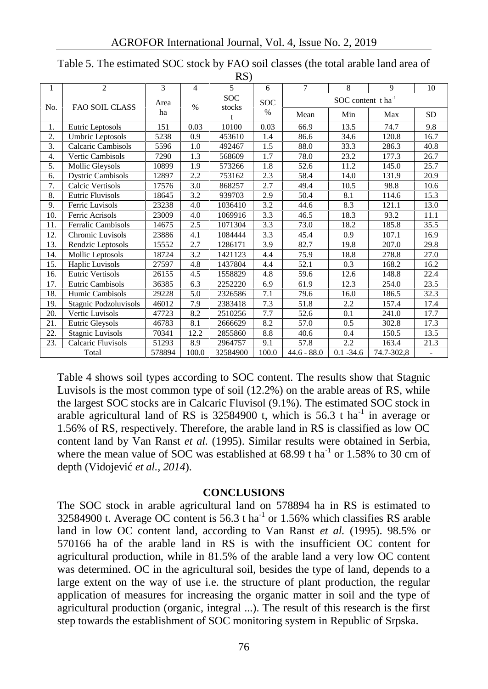|     |                           |            |       | --- <i>1</i>         |               |                               |              |            |           |  |
|-----|---------------------------|------------|-------|----------------------|---------------|-------------------------------|--------------|------------|-----------|--|
| 1   | $\overline{c}$            | 3          | 4     | 5.                   | 6             | $\overline{7}$                | 8            | 9          | 10        |  |
| No. | <b>FAO SOIL CLASS</b>     | Area<br>ha | $\%$  | <b>SOC</b><br>stocks | <b>SOC</b>    | SOC content tha <sup>-1</sup> |              |            |           |  |
|     |                           |            |       |                      | $\frac{0}{0}$ | Mean                          | Min          | Max        | <b>SD</b> |  |
| 1.  | Eutric Leptosols          | 151        | 0.03  | 10100                | 0.03          | 66.9                          | 13.5         | 74.7       | 9.8       |  |
| 2.  | Umbric Leptosols          | 5238       | 0.9   | 453610               | 1.4           | 86.6                          | 34.6         | 120.8      | 16.7      |  |
| 3.  | Calcaric Cambisols        | 5596       | 1.0   | 492467               | 1.5           | 88.0                          | 33.3         | 286.3      | 40.8      |  |
| 4.  | Vertic Cambisols          | 7290       | 1.3   | 568609               | 1.7           | 78.0                          | 23.2         | 177.3      | 26.7      |  |
| 5.  | Mollic Gleysols           | 10899      | 1.9   | 573266               | 1.8           | 52.6                          | 11.2         | 145.0      | 25.7      |  |
| 6.  | <b>Dystric Cambisols</b>  | 12897      | 2.2   | 753162               | 2.3           | 58.4                          | 14.0         | 131.9      | 20.9      |  |
| 7.  | Calcic Vertisols          | 17576      | 3.0   | 868257               | 2.7           | 49.4                          | 10.5         | 98.8       | 10.6      |  |
| 8.  | <b>Eutric Fluvisols</b>   | 18645      | 3.2   | 939703               | 2.9           | 50.4                          | 8.1          | 114.6      | 15.3      |  |
| 9.  | Ferric Luvisols           | 23238      | 4.0   | 1036410              | 3.2           | 44.6                          | 8.3          | 121.1      | 13.0      |  |
| 10. | Ferric Acrisols           | 23009      | 4.0   | 1069916              | 3.3           | 46.5                          | 18.3         | 93.2       | 11.1      |  |
| 11. | <b>Ferralic Cambisols</b> | 14675      | 2.5   | 1071304              | 3.3           | 73.0                          | 18.2         | 185.8      | 35.5      |  |
| 12. | Chromic Luvisols          | 23886      | 4.1   | 1084444              | 3.3           | 45.4                          | 0.9          | 107.1      | 16.9      |  |
| 13. | Rendzic Leptosols         | 15552      | 2.7   | 1286171              | 3.9           | 82.7                          | 19.8         | 207.0      | 29.8      |  |
| 14. | Mollic Leptosols          | 18724      | 3.2   | 1421123              | 4.4           | 75.9                          | 18.8         | 278.8      | 27.0      |  |
| 15. | Haplic Luvisols           | 27597      | 4.8   | 1437804              | 4.4           | 52.1                          | 0.3          | 168.2      | 16.2      |  |
| 16. | Eutric Vertisols          | 26155      | 4.5   | 1558829              | 4.8           | 59.6                          | 12.6         | 148.8      | 22.4      |  |
| 17. | <b>Eutric Cambisols</b>   | 36385      | 6.3   | 2252220              | 6.9           | 61.9                          | 12.3         | 254.0      | 23.5      |  |
| 18. | Humic Cambisols           | 29228      | 5.0   | 2326586              | 7.1           | 79.6                          | 16.0         | 186.5      | 32.3      |  |
| 19. | Stagnic Podzoluvisols     | 46012      | 7.9   | 2383418              | 7.3           | 51.8                          | 2.2          | 157.4      | 17.4      |  |
| 20. | Vertic Luvisols           | 47723      | 8.2   | 2510256              | 7.7           | 52.6                          | 0.1          | 241.0      | 17.7      |  |
| 21. | Eutric Gleysols           | 46783      | 8.1   | 2666629              | 8.2           | 57.0                          | 0.5          | 302.8      | 17.3      |  |
| 22. | <b>Stagnic Luvisols</b>   | 70341      | 12.2  | 2855860              | 8.8           | 40.6                          | 0.4          | 150.5      | 13.5      |  |
| 23. | Calcaric Fluvisols        | 51293      | 8.9   | 2964757              | 9.1           | 57.8                          | 2.2          | 163.4      | 21.3      |  |
|     | Total                     | 578894     | 100.0 | 32584900             | 100.0         | $44.6 - 88.0$                 | $0.1 - 34.6$ | 74.7-302,8 |           |  |

Table 5. The estimated SOC stock by FAO soil classes (the total arable land area of  $RS$ 

Table 4 shows soil types according to SOC content. The results show that Stagnic Luvisols is the most common type of soil (12.2%) on the arable areas of RS, while the largest SOC stocks are in Calcaric Fluvisol (9.1%). The estimated SOC stock in arable agricultural land of RS is  $32584900$  t, which is  $56.3$  t ha<sup>-1</sup> in average or 1.56% of RS, respectively. Therefore, the arable land in RS is classified as low OC content land by Van Ranst *et al.* (1995). Similar results were obtained in Serbia, where the mean value of SOC was established at  $68.99$  t ha<sup>-1</sup> or 1.58% to 30 cm of depth (Vidojevi *et al., 2014*).

## **CONCLUSIONS**

The SOC stock in arable agricultural land on 578894 ha in RS is estimated to 32584900 t. Average OC content is 56.3 t ha<sup>-1</sup> or 1.56% which classifies RS arable land in low OC content land, according to Van Ranst *et al.* (1995). 98.5% or 570166 ha of the arable land in RS is with the insufficient OC content for agricultural production, while in 81.5% of the arable land a very low OC content was determined. OC in the agricultural soil, besides the type of land, depends to a large extent on the way of use i.e. the structure of plant production, the regular application of measures for increasing the organic matter in soil and the type of agricultural production (organic, integral ...). The result of this research is the first step towards the establishment of SOC monitoring system in Republic of Srpska.